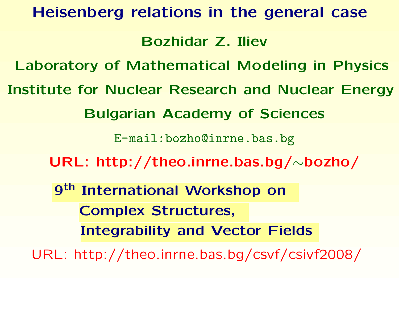# **Heisenberg relations in the general case Bozhidar Z. Iliev Laboratory of Mathematical Modeling in Physics Institute for Nuclear Research and Nuclear Energy Bulgarian Academy of Sciences** [E-mail:bozho@inrne.bas.bg](E-mail: bozho@inrne.bas.bg) **URL: [http://theo.inrne.bas.bg/](http://theo.inrne.bas.bg/~bozho/)** <sup>∼</sup>**bozho/** 9<sup>th</sup> International Workshop on **Complex Structures,** Integrability and Vector Fields

URL: <http://theo.inrne.bas.bg/csvf/csivf2008/>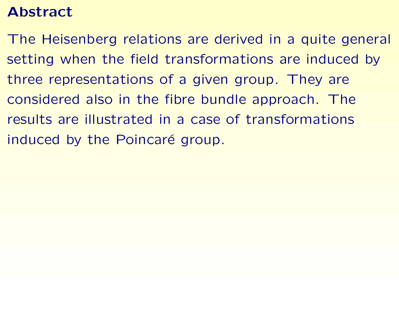## **Abstract**

The Heisenberg relations are derived in <sup>a</sup> quite general setting when the field transformations are induced by three representations of <sup>a</sup> given group. They are considered also in the fibre bundle approach. The results are illustrated in a case of transformations induced by the Poincaré group.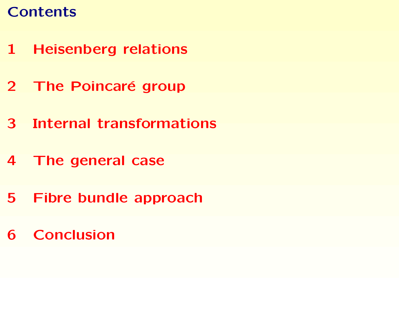# **Contents**

- **[Heisenberg](#page-3-0) relations**
- **The [Poincar](#page-6-0)´[e](#page-6-0) group**
- **Internal [transformations](#page-13-0)**
- **The [general](#page-20-0) case**
- **Fibre bundle [approach](#page-28-0)**
- **[Conclusion](#page-36-0)**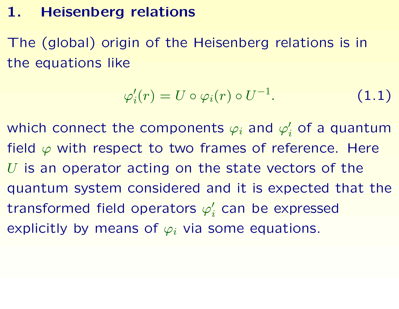## **1. Heisenberg relations**

The (global) origin of the Heisenberg relations is in the equations like

<span id="page-3-1"></span>
$$
\varphi_i'(r) = U \circ \varphi_i(r) \circ U^{-1}.
$$
 (1.1)

<span id="page-3-0"></span>which connect the components  $\varphi_i$  and  $\varphi$  $\prime$  $_i^{\prime}$  of a quantum field  $\varphi$  with respect to two frames of reference. Here  $U$  is an operator acting on the state vectors of the quantum system considered and it is expected that the transformed field operators  $\varphi$  $\prime$  $_i^{\prime}$  can be expressed explicitly by means of  $\varphi_i$  via some equations.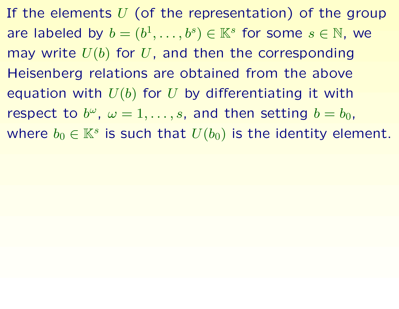If the elements  $U$  (of the representation) of the group are labeled by  $b = (b^1, \ldots, b^s) \in \mathbb{K}^s$  for some  $s \in \mathbb{N}$ , we may write  $U(b)$  for  $U$ , and then the corresponding Heisenberg relations are obtained from the above equation with  $U(b)$  for U by differentiating it with respect to  $b^{\omega}$ ,  $\omega = 1, \ldots, s$ , and then setting  $b = b_0$ , where  $b_0 \in \mathbb{K}^s$  is such that  $U(b_0)$  is the identity element.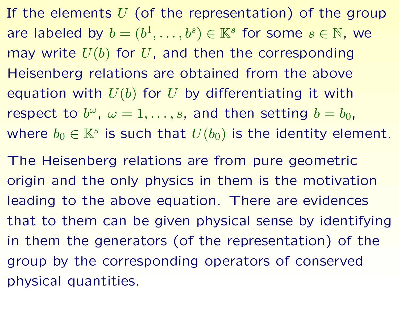If the elements  $U$  (of the representation) of the group are labeled by  $b = (b^1, \ldots, b^s) \in \mathbb{K}^s$  for some  $s \in \mathbb{N}$ , we may write  $U(b)$  for  $U$ , and then the corresponding Heisenberg relations are obtained from the above equation with  $U(b)$  for U by differentiating it with respect to  $b^{\omega}$ ,  $\omega = 1, \ldots, s$ , and then setting  $b = b_0$ , where  $b_0 \in \mathbb{K}^s$  is such that  $U(b_0)$  is the identity element.

The Heisenberg relations are from pure geometric origin and the only physics in them is the motivation leading to the above equation. There are evidences that to them can be given physical sense by identifying in them the generators (of the representation) of the group by the corresponding operators of conserved physical quantities.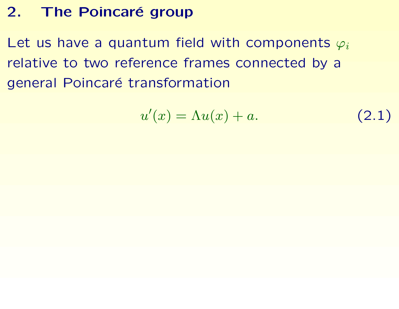## 2. The Poincaré group

Let us have a quantum field with components  $\varphi_i$ relative to two reference frames connected by <sup>a</sup> general Poincaré transformation

<span id="page-6-1"></span><span id="page-6-0"></span>
$$
u'(x) = \Lambda u(x) + a. \tag{2.1}
$$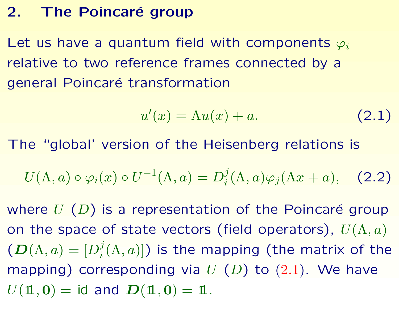#### 2. The Poincaré group

Let us have a quantum field with components  $\varphi_i$ relative to two reference frames connected by <sup>a</sup> general Poincaré transformation

<span id="page-7-0"></span>
$$
u'(x) = \Lambda u(x) + a. \tag{2.1}
$$

The "global' version of the Heisenberg relations is

$$
U(\Lambda, a) \circ \varphi_i(x) \circ U^{-1}(\Lambda, a) = D_i^j(\Lambda, a) \varphi_j(\Lambda x + a), \quad \text{(2.2)}
$$

where  $U(D)$  is a representation of the Poincaré group on the space of state vectors (field operators),  $U(\Lambda, a)$  $(D(\Lambda, a) = [D_i^j(\Lambda, a)])$  is the mapping (the matrix of the mapping) corresponding via  $U(D)$  to  $(2.1)$  $(2.1)$  $(2.1)$ . We have  $U(\mathbf{1}, \mathbf{0}) = \text{id}$  and  $D(\mathbf{1}, \mathbf{0}) = \mathbf{1}$ .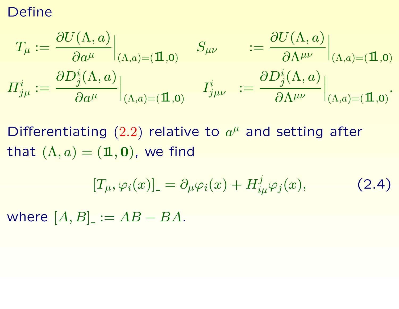#### Define

$$
\begin{aligned} T_{\mu} &:= \frac{\partial U(\Lambda,a)}{\partial a^{\mu}}\Big|_{(\Lambda,a)=(\mathbf{1},\mathbf{0})} \quad S_{\mu\nu} &:= \frac{\partial U(\Lambda,a)}{\partial \Lambda^{\mu\nu}}\Big|_{(\Lambda,a)=(\mathbf{1},\mathbf{0})} \\ H^i_{j\mu} &:= \frac{\partial D^i_j(\Lambda,a)}{\partial a^{\mu}}\Big|_{(\Lambda,a)=(\mathbf{1},\mathbf{0})} \quad I^i_{j\mu\nu} &:= \frac{\partial D^i_j(\Lambda,a)}{\partial \Lambda^{\mu\nu}}\Big|_{(\Lambda,a)=(\mathbf{1},\mathbf{0})}. \end{aligned}
$$

Differentiating ([2.2](#page-7-0)) relative to  $a^{\mu}$  and setting after that  $(\Lambda, a) = (\mathbf{1}, \mathbf{0})$ , we find

<span id="page-8-0"></span>
$$
[T_{\mu}, \varphi_i(x)]_{-} = \partial_{\mu} \varphi_i(x) + H^j_{i\mu} \varphi_j(x), \qquad (2.4)
$$

where  $[A, B]_- := AB - BA$ .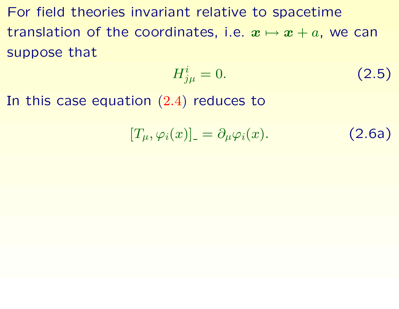For field theories invariant relative to spacetime translation of the coordinates, i.e.  $\bm{x} \mapsto \bm{x} + a$ , we can suppose that

$$
H_{j\mu}^i = 0. \tag{2.5}
$$

In this case equation ([2.4](#page-8-0) ) reduces to

$$
[T_{\mu}, \varphi_i(x)]_{-} = \partial_{\mu} \varphi_i(x). \qquad (2.6a)
$$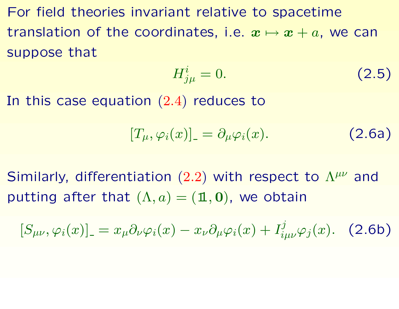For field theories invariant relative to spacetime translation of the coordinates, i.e.  $\bm{x} \mapsto \bm{x} + a$ , we can suppose that

$$
H_{j\mu}^i = 0. \tag{2.5}
$$

In this case equation ([2.4](#page-8-0) ) reduces to

$$
[T_{\mu}, \varphi_i(x)]_{-} = \partial_{\mu} \varphi_i(x). \qquad (2.6a)
$$

Similarly, differentiation  $(2.2)$  $(2.2)$  $(2.2)$  with respect to  $\Lambda^{\mu\nu}$  and putting after that  $(\Lambda,a)=(\mathbf{1},\mathbf{0}),$  we obtain

$$
[S_{\mu\nu}, \varphi_i(x)]_-=x_\mu\partial_\nu\varphi_i(x)-x_\nu\partial_\mu\varphi_i(x)+I^j_{i\mu\nu}\varphi_j(x). \quad (2.6b)
$$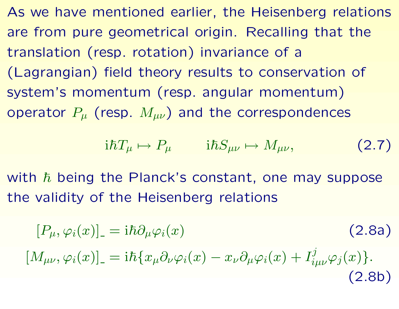As we have mentioned earlier, the Heisenberg relations are from pure geometrical origin. Recalling that the translation (resp. rotation) invariance of <sup>a</sup> (Lagrangian) field theory results to conservation of system's momentum (resp. angular momentum) operator  $P_\mu$  (resp.  $M_{\mu\nu})$  and the correspondences

$$
i\hbar T_{\mu} \mapsto P_{\mu} \qquad i\hbar S_{\mu\nu} \mapsto M_{\mu\nu}, \qquad (2.7)
$$

with  $\hbar$  being the Planck's constant, one may suppose the validity of the Heisenberg relations

$$
[P_{\mu}, \varphi_i(x)]_{-} = i\hbar \partial_{\mu} \varphi_i(x)
$$
\n
$$
[M_{\mu\nu}, \varphi_i(x)]_{-} = i\hbar \{x_{\mu} \partial_{\nu} \varphi_i(x) - x_{\nu} \partial_{\mu} \varphi_i(x) + I^j_{i\mu\nu} \varphi_j(x) \}.
$$
\n(2.8a)\n  
\n(2.8b)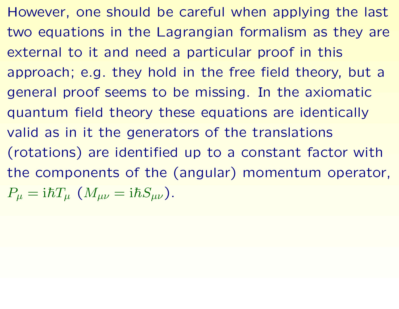However, one should be careful when applying the last two equations in the Lagrangian formalism as they are external to it and need <sup>a</sup> particular proof in this approach; e.g. they hold in the free field theory, but <sup>a</sup> general proof seems to be missing. In the axiomatic quantum field theory these equations are identically valid as in it the generators of the translations (rotations) are identified up to <sup>a</sup> constant factor with the components of the (angular) momentum operator,  $P_\mu={\rm i}\hbar T_\mu\,\,(M_{\mu\nu}={\rm i}\hbar S_{\mu\nu}).$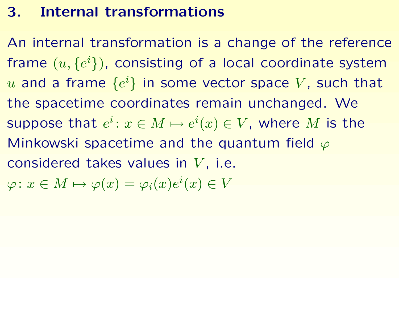## **3. Internal transformations**

<span id="page-13-0"></span>An internal transformation is <sup>a</sup> change of the reference frame  $(u,\{e$  $\{i\}$ ), consisting of a local coordinate system  $u$  and a frame  $\{e$  $\{i\}$  in some vector space  $V$ , such that the spacetime coordinates remain unchanged. We suppose that  $e^i\colon x\in M\mapsto e^i$  ${}^i(x) \in V$ , where  $M$  is the Minkowski spacetime and the quantum field  $\varphi$ considered takes values in  $V$ , i.e.  $\varphi\colon x\in M\mapsto \varphi(x)=\varphi_i(x)e$  ${}^{i}(x)\in V$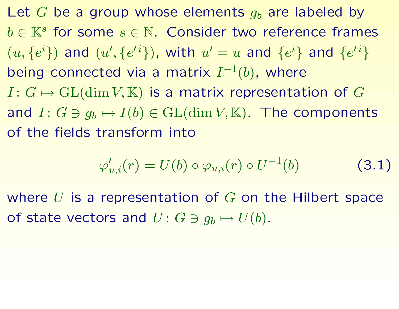Let  $G$  be a group whose elements  $g_b$  are labeled by  $b\in\mathbb{K}^s$  for some  $s\in\mathbb{N}.$  Consider two reference frames  $(u, \{e$  $^i\})$  and  $(u$ I , { e  $^{\prime\,i}\}),$  with  $u$  $^{\prime}=u$  and  $\{e$  $^i\}$  and  $\{e$  $\{i\}$ being connected via a matrix  $I^{-1}(b)$ , where  $I\colon G\mapsto \mathrm{GL}(\dim V, \mathbb{K})$  is a matrix representation of  $G$ and  $I\colon G\ni g_b\mapsto I(b)\in{\mathrm {GL}}(\dim V,{\mathbb K}).$  The components of the fields transform into

$$
\varphi'_{u,i}(r) = U(b) \circ \varphi_{u,i}(r) \circ U^{-1}(b) \tag{3.1}
$$

where  $U$  is a representation of  $G$  on the Hilbert space of state vectors and  $U\colon G\ni g_b\mapsto U(b).$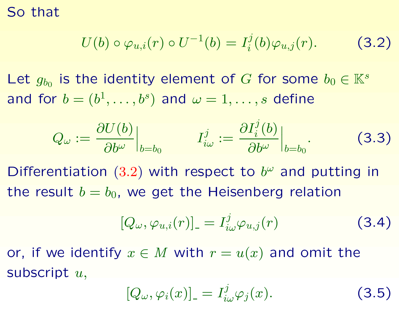So that

$$
U(b) \circ \varphi_{u,i}(r) \circ U^{-1}(b) = I_i^j(b)\varphi_{u,j}(r). \tag{3.2}
$$

Let  $g_{b_0}$  is the identity element of G for some  $b_0 \in \mathbb{K}^s$ and for  $b = (b^1, \ldots, b^s)$  and  $\omega = 1, \ldots, s$  define

$$
Q_{\omega} := \frac{\partial U(b)}{\partial b^{\omega}}\Big|_{b=b_0} \qquad I_{i\omega}^j := \frac{\partial I_i^j(b)}{\partial b^{\omega}}\Big|_{b=b_0}.
$$
 (3.3)

Differentiation ([3.2](#page-15-0)) with respect to  $b^{\omega}$  and putting in the result  $b = b_0$ , we get the Heisenberg relation

<span id="page-15-1"></span><span id="page-15-0"></span>
$$
[Q_{\omega}, \varphi_{u,i}(r)]_{-} = I_{i\omega}^{j} \varphi_{u,j}(r) \qquad (3.4)
$$

or, if we identify  $x \in M$  with  $r = u(x)$  and omit the subscript  $u$ ,

$$
[Q_{\omega}, \varphi_i(x)]_{-} = I^j_{i\omega} \varphi_j(x). \qquad (3.5)
$$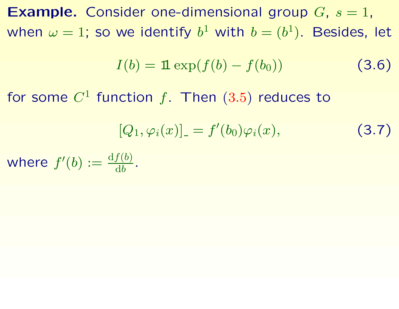$\boldsymbol{\mathsf{Example.}}$  Consider one-dimensional group  $G, s = 1,$ when  $\omega=1;$  so we identify  $b^1$  with  $b=(b^1).$  Besides, let

$$
I(b) = \mathbf{1} \exp(f(b) - f(b_0)) \tag{3.6}
$$

for some  $C^1$  function  $f.$  Then  $(3.5)$  $(3.5)$  $(3.5)$  reduces to

$$
[Q_1, \varphi_i(x)] = f'(b_0)\varphi_i(x), \qquad (3.7)
$$

where  $f^\prime$  $\phi$  :=  $\frac{\mathrm{d}f(b)}{\mathrm{d}b}$  $\mathrm{d} b$  .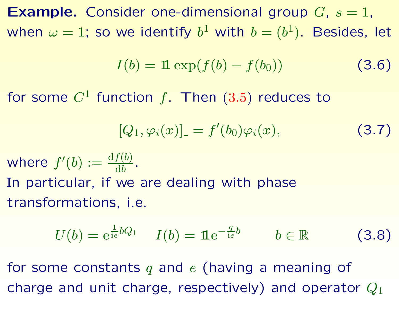$\boldsymbol{\mathsf{Example.}}$  Consider one-dimensional group  $G, s = 1,$ when  $\omega=1;$  so we identify  $b^1$  with  $b=(b^1).$  Besides, let

$$
I(b) = \mathbf{1} \exp(f(b) - f(b_0)) \tag{3.6}
$$

for some  $C^1$  function  $f.$  Then  $(3.5)$  $(3.5)$  $(3.5)$  reduces to

$$
[Q_1, \varphi_i(x)] = f'(b_0)\varphi_i(x), \qquad (3.7)
$$

where  $f^\prime$  $\phi$  :=  $\frac{\mathrm{d}f(b)}{\mathrm{d}b}$  $\mathrm{d} b$  . In particular, if we are dealing with phase transformations, i.e.

$$
U(b) = e^{\frac{1}{ie}bQ_1} \tI(b) = \mathbf{1}e^{-\frac{q}{ie}b} \t b \in \mathbb{R}
$$
 (3.8)

for some constants  $q$  and  $e$  (having a meaning of charge and unit charge, respectively) and operator  $Q_1$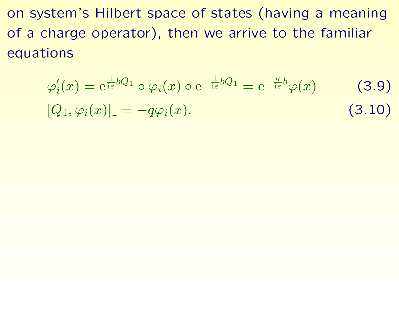on system's Hilbert space of states (having <sup>a</sup> meaning of <sup>a</sup> charge operator), then we arrive to the familiar equations

<span id="page-18-0"></span>
$$
\varphi_i'(x) = e^{\frac{1}{ie}bQ_1} \circ \varphi_i(x) \circ e^{-\frac{1}{ie}bQ_1} = e^{-\frac{q}{ie}b}\varphi(x) \qquad (3.9)
$$

$$
[Q_1, \varphi_i(x)]_-= -q\varphi_i(x). \qquad (3.10)
$$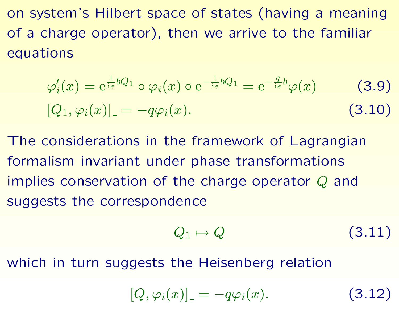on system's Hilbert space of states (having <sup>a</sup> meaning of <sup>a</sup> charge operator), then we arrive to the familiar equations

$$
\varphi_i'(x) = e^{\frac{1}{ie}bQ_1} \circ \varphi_i(x) \circ e^{-\frac{1}{ie}bQ_1} = e^{-\frac{q}{ie}b}\varphi(x)
$$
(3.9)  

$$
[Q_1, \varphi_i(x)]_-=q\varphi_i(x).
$$
(3.10)

The considerations in the framework of Lagrangian formalism invariant under phase transformations implies conservation of the charge operator  $Q$  and suggests the correspondence

$$
Q_1 \mapsto Q \tag{3.11}
$$

which in turn suggests the Heisenberg relation

 $[Q,\varphi_i(x)]$  $=-q\varphi_i(x$ ). (3.12)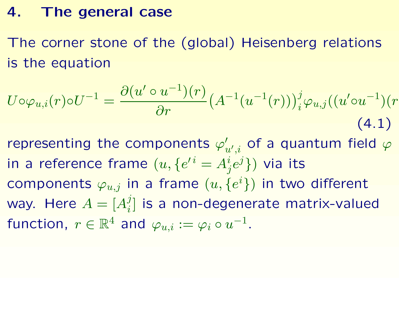## **4. The general case**

The corner stone of the (global) Heisenberg relations is the equation

$$
U \circ \varphi_{u,i}(r) \circ U^{-1} = \frac{\partial (u' \circ u^{-1})(r)}{\partial r} \left( A^{-1}(u^{-1}(r)) \right)_i^j \varphi_{u,j}((u' \circ u^{-1})(r))
$$
\n(4.1)

<span id="page-20-0"></span>representing the components  $\varphi$  $'_{u',i}$  of a quantum field  $\varphi$ in a reference frame  $(u,\{e$  $\iota^i = A^i$  $\{i\atop j}e^j\})$  via its components  $\varphi_{u,j}$  in a frame  $(u,\{e$  $\{i\})$  in two different way. Here  $A=[A_i^j]$  is a non-degenerate matrix-valued function,  $r\in\mathbb{R}^4$  and  $\varphi_{u,i}:=\varphi_i\circ u^{-1}$ .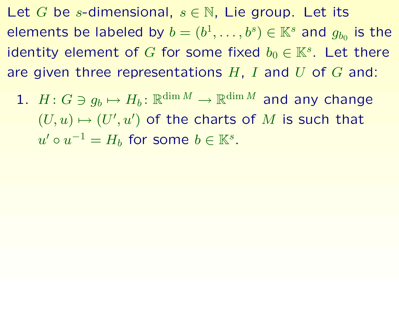Let G be s-dimensional,  $s \in \mathbb{N}$ , Lie group. Let its elements be labeled by  $b = (b^1, \ldots, b^s) \in \mathbb{K}^s$  and  $g_{b_0}$  is the identity element of G for some fixed  $b_0 \in \mathbb{K}^s$ . Let there are given three representations  $H$ , I and U of G and:

1.  $H: G \ni g_b \mapsto H_b: \mathbb{R}^{\dim M} \to \mathbb{R}^{\dim M}$  and any change  $(U, u) \mapsto (U', u')$  of the charts of M is such that  $u' \circ u^{-1} = H_b$  for some  $b \in \mathbb{K}^s$ .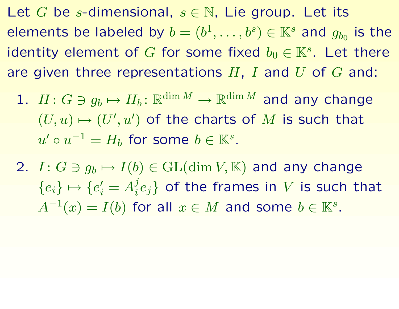Let G be s-dimensional,  $s \in \mathbb{N}$ , Lie group. Let its elements be labeled by  $b = (b^1, \ldots, b^s) \in \mathbb{K}^s$  and  $g_{b_0}$  is the identity element of G for some fixed  $b_0 \in \mathbb{K}^s$ . Let there are given three representations  $H$ , I and U of G and:

1.  $H: G \ni g_b \mapsto H_b: \mathbb{R}^{\dim M} \to \mathbb{R}^{\dim M}$  and any change  $(U, u) \mapsto (U', u')$  of the charts of M is such that  $u' \circ u^{-1} = H_h$  for some  $b \in \mathbb{K}^s$ .

2.  $I: G \ni g_b \mapsto I(b) \in GL(\dim V, \mathbb{K})$  and any change  ${e_i} \mapsto {e'_i = A_i^j e_i}$  of the frames in V is such that  $A^{-1}(x) = I(b)$  for all  $x \in M$  and some  $b \in \mathbb{K}^s$ .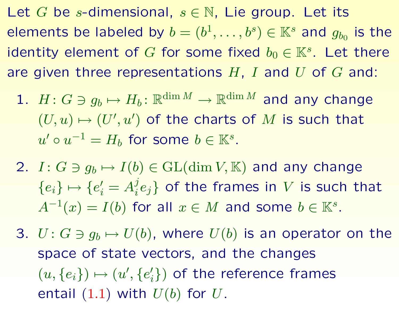Let G be s-dimensional,  $s \in \mathbb{N}$ , Lie group. Let its elements be labeled by  $b = (b^1, \ldots, b^s) \in \mathbb{K}^s$  and  $g_{b_0}$  is the identity element of G for some fixed  $b_0 \in \mathbb{K}^s$ . Let there are given three representations  $H$ ,  $I$  and  $U$  of  $G$  and:

1.  $H: G \ni g_b \mapsto H_b: \mathbb{R}^{\dim M} \to \mathbb{R}^{\dim M}$  and any change  $(U, u) \mapsto (U', u')$  of the charts of M is such that  $u' \circ u^{-1} = H_h$  for some  $b \in \mathbb{K}^s$ .

2.  $I: G \ni g_b \mapsto I(b) \in GL(\dim V, \mathbb{K})$  and any change  ${e_i} \mapsto {e'_i = A_i^j e_i}$  of the frames in V is such that  $A^{-1}(x) = I(b)$  for all  $x \in M$  and some  $b \in \mathbb{K}^s$ .

3.  $U: G \ni g_b \mapsto U(b)$ , where  $U(b)$  is an operator on the space of state vectors, and the changes  $(u, \{e_i\}) \mapsto (u', \{e'_i\})$  of the reference frames entail  $(1.1)$  $(1.1)$  $(1.1)$  with  $U(b)$  for  $U$ .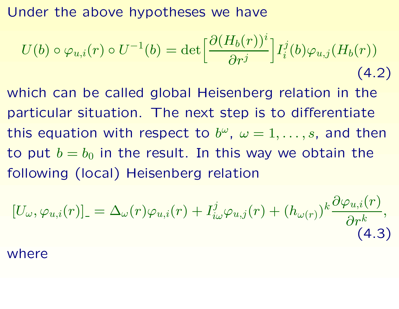Under the above hypotheses we have

$$
U(b) \circ \varphi_{u,i}(r) \circ U^{-1}(b) = \det \left[ \frac{\partial (H_b(r))^i}{\partial r^j} \right] I_i^j(b) \varphi_{u,j}(H_b(r))
$$
\n(4.2)

which can be called global Heisenberg relation in the particular situation. The next step is to differentiate this equation with respect to  $b^\omega$ ,  $\omega=1,\ldots,s$ , and then to put  $b=b_0$  in the result. In this way we obtain the following (local) Heisenberg relation

$$
[U_{\omega}, \varphi_{u,i}(r)]_{-} = \Delta_{\omega}(r)\varphi_{u,i}(r) + I_{i\omega}^{j}\varphi_{u,j}(r) + (h_{\omega(r)})^{k}\frac{\partial\varphi_{u,i}(r)}{\partial r^{k}},
$$
\n(4.3)

where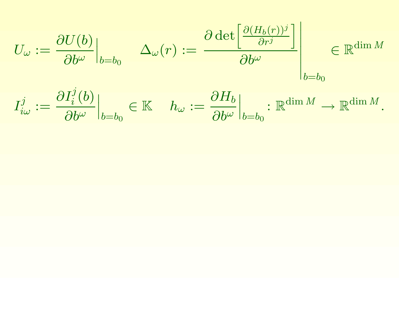$$
U_{\omega} := \frac{\partial U(b)}{\partial b^{\omega}}\Big|_{b=b_0} \quad \Delta_{\omega}(r) := \frac{\partial \det \left[\frac{\partial (H_b(r))^j}{\partial r^j}\right]}{\partial b^{\omega}}\Big|_{b=b_0} \in \mathbb{R}^{\dim M}.
$$

$$
I_{i\omega}^j := \frac{\partial I_i^j(b)}{\partial b^{\omega}}\Big|_{b=b_0} \in \mathbb{K} \quad h_{\omega} := \frac{\partial H_b}{\partial b^{\omega}}\Big|_{b=b_0} : \mathbb{R}^{\dim M} \to \mathbb{R}^{\dim M}.
$$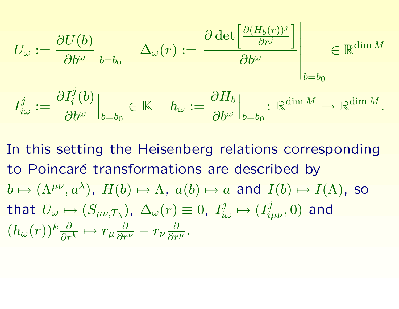$$
U_{\omega} := \frac{\partial U(b)}{\partial b^{\omega}}\Big|_{b=b_0} \qquad \Delta_{\omega}(r) := \frac{\partial \det \left[\frac{\partial (H_b(r))^j}{\partial r^j}\right]}{\partial b^{\omega}}\Big|_{b=b_0} \in \mathbb{R}^{\dim M}.
$$

$$
I_{i\omega}^j := \frac{\partial I_i^j(b)}{\partial b^{\omega}}\Big|_{b=b_0} \in \mathbb{K} \qquad h_{\omega} := \frac{\partial H_b}{\partial b^{\omega}}\Big|_{b=b_0} : \mathbb{R}^{\dim M} \to \mathbb{R}^{\dim M}.
$$

In this setting the Heisenberg relations corresponding to Poincaré transformations are described by  $b \mapsto (\Lambda^{\mu\nu}, a^{\lambda})$ ,  $H(b) \mapsto \Lambda$ ,  $a(b) \mapsto a$  and  $I(b) \mapsto I(\Lambda)$ , so that  $U_{\omega} \mapsto (S_{\mu\nu,T_{\lambda}})$ ,  $\Delta_{\omega}(r) \equiv 0$ ,  $I_{i\omega}^{j} \mapsto (I_{i\mu\nu}^{j},0)$  and  $(h_{\omega}(r))^k \frac{\partial}{\partial r^k} \mapsto r_{\mu} \frac{\partial}{\partial r^{\nu}} - r_{\nu} \frac{\partial}{\partial r^{\mu}}.$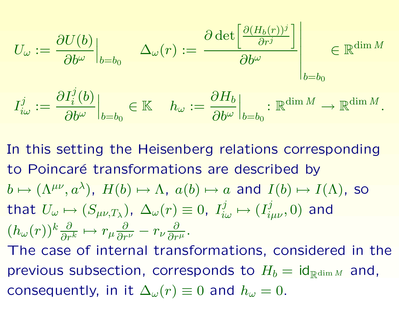$$
U_{\omega} := \frac{\partial U(b)}{\partial b^{\omega}}\Big|_{b=b_0} \qquad \Delta_{\omega}(r) := \frac{\partial \det \left[\frac{\partial (H_b(r))^j}{\partial r^j}\right]}{\partial b^{\omega}}\Big|_{b=b_0} \in \mathbb{R}^{\dim M}.
$$

$$
I_{i\omega}^j := \frac{\partial I_i^j(b)}{\partial b^{\omega}}\Big|_{b=b_0} \in \mathbb{K} \qquad h_{\omega} := \frac{\partial H_b}{\partial b^{\omega}}\Big|_{b=b_0} : \mathbb{R}^{\dim M} \to \mathbb{R}^{\dim M}.
$$

In this setting the Heisenberg relations corresponding to Poincaré transformations are described by  $b \mapsto (\Lambda^{\mu\nu}, a^{\lambda})$ ,  $H(b) \mapsto \Lambda$ ,  $a(b) \mapsto a$  and  $I(b) \mapsto I(\Lambda)$ , so that  $U_{\omega} \mapsto (S_{\mu\nu,T_{\lambda}})$ ,  $\Delta_{\omega}(r) \equiv 0$ ,  $I_{i\omega}^{j} \mapsto (I_{i\mu\nu}^{j},0)$  and  $(h_{\omega}(r))^k \frac{\partial}{\partial r^k} \mapsto r_{\mu} \frac{\partial}{\partial r^{\nu}} - r_{\nu} \frac{\partial}{\partial r^{\mu}}.$ The case of internal transformations, considered in the previous subsection, corresponds to  $H_b = id_{\mathbb{R}^{\dim M}}$  and, consequently, in it  $\Delta_{\omega}(r) \equiv 0$  and  $h_{\omega} = 0$ .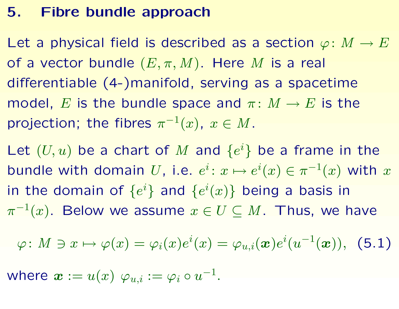#### **5. Fibre bundle approach**

Let a physical field is described as a section  $\varphi\colon M\to E$ of a vector bundle  $(E,\pi,M).$  Here  $M$  is a real differentiable (4-)manifold, serving as <sup>a</sup> spacetime model,  $E$  is the bundle space and  $\pi\colon M\to E$  is the projection; the fibres  $\pi^{-1}(x),\;x\in M.$ 

Let  $(U,u)$  be a chart of  $M$  and  $\{e$  $\{i\}$  be a frame in the bundle with domain  $U$ , i.e.  $e^i\colon x\mapsto e^i$  $i(x)\in \pi^{-1}(x)$  with  $x$ in the domain of  $\{e$  $^i\}$  and  $\{e$  $i(x)\}$  being a basis in  $\pi^{-1}(x)$ . Below we assume  $x\in U\subseteq M$ . Thus, we have

$$
\varphi\colon M\ni x\mapsto \varphi(x)=\varphi_i(x)e^i(x)=\varphi_{u,i}(\boldsymbol x)e^i(u^{-1}(\boldsymbol x)),\;\;(\textbf{5.1})
$$

<span id="page-28-0"></span>where  $\boldsymbol{x}:=u(x)$   $\varphi_{u,i}:=\varphi_{i}\circ u^{-1}$ .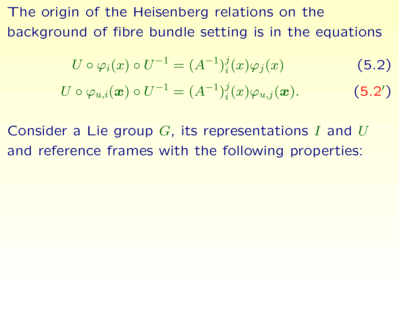The origin of the Heisenberg relations on the background of fibre bundle setting is in the equations

<span id="page-29-0"></span>
$$
U \circ \varphi_i(x) \circ U^{-1} = (A^{-1})_i^j(x)\varphi_j(x) \tag{5.2}
$$

$$
U \circ \varphi_{u,i}(\boldsymbol{x}) \circ U^{-1} = (A^{-1})_i^j(x) \varphi_{u,j}(\boldsymbol{x}). \tag{5.2'}
$$

Consider a Lie group  $G$ , its representations I and  $U$ and reference frames with the following properties: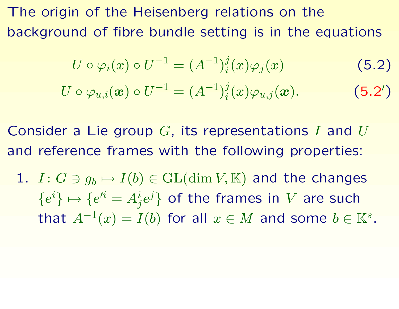The origin of the Heisenberg relations on the background of fibre bundle setting is in the equations

$$
U \circ \varphi_i(x) \circ U^{-1} = (A^{-1})_i^j(x)\varphi_j(x)
$$
(5.2)  

$$
U \circ \varphi_{u,i}(\boldsymbol{x}) \circ U^{-1} = (A^{-1})_i^j(x)\varphi_{u,j}(\boldsymbol{x}).
$$
(5.2')

Consider a Lie group  $G$ , its representations I and  $U$ and reference frames with the following properties:

 $1.$   $I: G\ni g_b\mapsto I(b)\in {\mathrm {GL}}(\dim V, \mathbb{K})$  and the changes  $\{e$  $^i\}\mapsto\{e$  $\mu^i = A^i$  $\{ i_{j}e^{j}\}$  of the frames in  $V$  are such that  $A^{-1}(x) = I(b)$  for all  $x \in M$  and some  $b \in \mathbb{K}^s$ .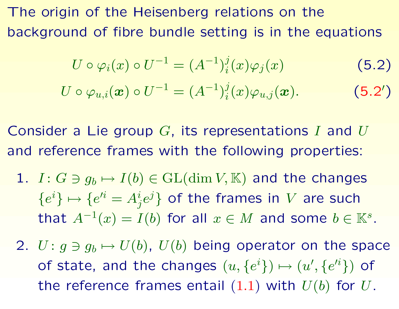The origin of the Heisenberg relations on the background of fibre bundle setting is in the equations

$$
U \circ \varphi_i(x) \circ U^{-1} = (A^{-1})_i^j(x)\varphi_j(x)
$$
(5.2)  

$$
U \circ \varphi_{u,i}(\boldsymbol{x}) \circ U^{-1} = (A^{-1})_i^j(x)\varphi_{u,j}(\boldsymbol{x}).
$$
(5.2')

Consider a Lie group  $G$ , its representations I and  $U$ and reference frames with the following properties:

- $1.$   $I: G\ni g_b\mapsto I(b)\in {\mathrm {GL}}(\dim V, \mathbb{K})$  and the changes  $\{e$  $^i\}\mapsto\{e$  $\mu^i = A^i$  $\{ i_{j}e^{j}\}$  of the frames in  $V$  are such that  $A^{-1}(x) = I(b)$  for all  $x \in M$  and some  $b \in \mathbb{K}^s$ .
- 2.  $U\colon g\ni g_b\mapsto U(b)$ ,  $U(b)$  being operator on the space of state, and the changes  $(u,\{e$  $^{i}\})\mapsto(u% \left( u_{1}\right) ^{i},$  $\prime$  $,\{e$  $\{ \ ^{i}\} )$  of the reference frames entail  $(1.1)$  $(1.1)$  $(1.1)$  with  $U(b)$  for  $U.$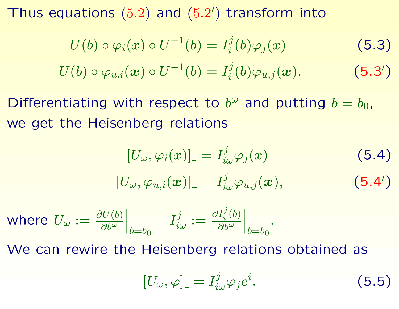Thus equations  $(5.2)$  $(5.2)$  $(5.2)$  and  $(5.2')$  transform into

<span id="page-32-1"></span><span id="page-32-0"></span>
$$
U(b) \circ \varphi_i(x) \circ U^{-1}(b) = I_i^j(b)\varphi_j(x) \tag{5.3}
$$

$$
U(b) \circ \varphi_{u,i}(\boldsymbol{x}) \circ U^{-1}(b) = I_i^j(b) \varphi_{u,j}(\boldsymbol{x}). \qquad (5.3')
$$

Differentiating with respect to  $b^{\omega}$  and putting  $b = b_0$ , we get the Heisenberg relations

$$
[U_{\omega}, \varphi_i(x)]_{-} = I_{i\omega}^j \varphi_j(x) \qquad (5.4)
$$

$$
[U_{\omega},\varphi_{u,i}(\boldsymbol{x})]_-=I^j_{i\omega}\varphi_{u,j}(\boldsymbol{x}), \qquad \qquad (5.4')
$$

where 
$$
U_{\omega} := \frac{\partial U(b)}{\partial b^{\omega}}\Big|_{b=b_0}
$$
  $I^j_{i\omega} := \frac{\partial I^j_i(b)}{\partial b^{\omega}}\Big|_{b=b_0}$ .

We can rewire the Heisenberg relations obtained as

$$
[U_{\omega}, \varphi]_{-} = I_{i\omega}^{j} \varphi_{j} e^{i}.
$$
 (5.5)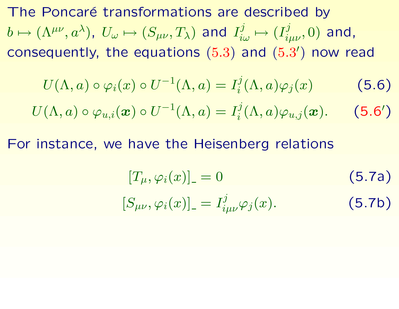<span id="page-33-0"></span>The Poncaré transformations are described by  $b\mapsto (\Lambda^{\mu\nu},a^\lambda)$ ,  $U_\omega\mapsto (S_{\mu\nu},T_\lambda)$  and  $I^j_{i\omega}\mapsto (I^j_{i\mu\nu},0)$  and, consequently, the equations  $(5.3)$  $(5.3)$  $(5.3)$  and  $(5.3')$  now read

$$
U(\Lambda, a) \circ \varphi_i(x) \circ U^{-1}(\Lambda, a) = I_i^j(\Lambda, a) \varphi_j(x) \tag{5.6}
$$

$$
U(\Lambda, a) \circ \varphi_{u,i}(\boldsymbol{x}) \circ U^{-1}(\Lambda, a) = I_i^j(\Lambda, a) \varphi_{u,j}(\boldsymbol{x}). \tag{5.6'}
$$

For instance, we have the Heisenberg relations

$$
[T_{\mu}, \varphi_i(x)]_-=0 \qquad (5.7a)
$$

$$
[S_{\mu\nu}, \varphi_i(x)]_ = I^j_{i\mu\nu} \varphi_j(x). \tag{5.7b}
$$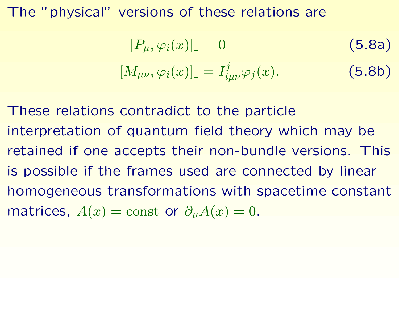#### The "physical" versions of these relations are

$$
[P_{\mu}, \varphi_i(x)]_{-} = 0
$$
\n
$$
[M_{\mu\nu}, \varphi_i(x)]_{-} = I^j_{i\mu\nu} \varphi_j(x).
$$
\n(5.8a)

These relations contradict to the particle interpretation of quantum field theory which may be retained if one accepts their non-bundle versions. This is possible if the frames used are connected by linear homogeneous transformations with spacetime constant matrices,  $A(x)=\mathrm{const}$  or  $\partial_\mu A(x)=0.$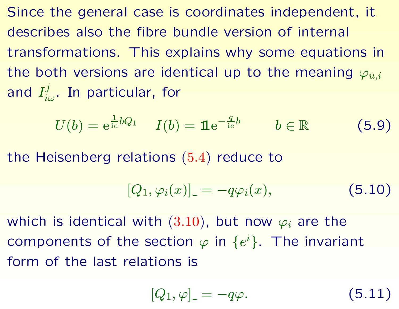Since the general case is coordinates independent, it describes also the fibre bundle version of internal transformations. This explains why some equations in the both versions are identical up to the meaning  $\varphi_{u,i}$ and  $I^j_{i\omega}.$  In particular, for

$$
U(b) = e^{\frac{1}{ie}bQ_1} \quad I(b) = \mathbf{1}e^{-\frac{q}{ie}b} \qquad b \in \mathbb{R} \tag{5.9}
$$

the Heisenberg relations ([5.4](#page-32-1) ) reduce to

$$
[Q_1, \varphi_i(x)]_- = -q\varphi_i(x), \qquad (5.10)
$$

which is identical with  $(3.10)$  $(3.10)$  $(3.10)$ , but now  $\varphi_i$  are the components of the section  $\varphi$  in  $\{e$  $\{i\}$ . The invariant form of the last relations is

$$
[Q_1,\varphi]_{\scriptscriptstyle-} = -q\varphi.
$$

<sup>−</sup>qϕ. (5.11)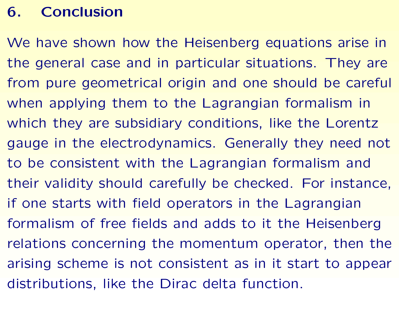# **6. Conclusion**

<span id="page-36-0"></span>We have shown how the Heisenberg equations arise in the general case and in particular situations. They are from pure geometrical origin and one should be careful when applying them to the Lagrangian formalism in which they are subsidiary conditions, like the Lorentz gauge in the electrodynamics. Generally they need not to be consistent with the Lagrangian formalism and their validity should carefully be checked. For instance, if one starts with field operators in the Lagrangian formalism of free fields and adds to it the Heisenberg relations concerning the momentum operator, then the arising scheme is not consistent as in it start to appear distributions, like the Dirac delta function.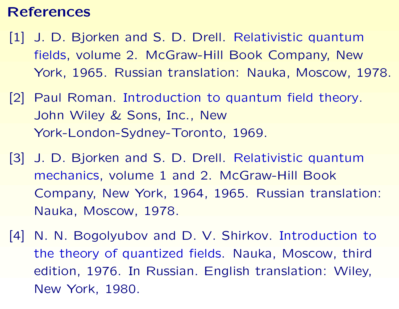#### **References**

- [1] J. D. Bjorken and S. D. Drell. Relativistic quantum fields, volume 2. McGraw-Hill Book Company, New York, 1965. Russian translation: Nauka, Moscow, 1978.
- [2] Paul Roman. Introduction to quantum field theory. John Wiley & Sons, Inc., New York-London-Sydney-Toronto, 1969.
- [3] J. D. Bjorken and S. D. Drell. Relativistic quantum mechanics, volume 1 and 2. McGraw-Hill Book Company, New York, 1964, 1965. Russian translation: Nauka, Moscow, 1978.
- [4] N. N. Bogolyubov and D. V. Shirkov. Introduction to the theory of quantized fields. Nauka, Moscow, third edition, 1976. In Russian. English translation: Wiley, New York, 1980.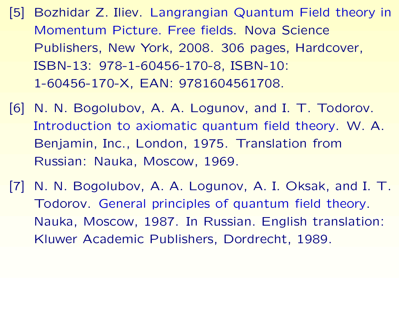- [5] Bozhidar Z. Iliev. Langrangian Quantum Field theory in Momentum Picture. Free fields. Nova Science Publishers, New York, 2008. 306 pages, Hardcover, ISBN-13: 978-1-60456-170-8, ISBN-10: 1-60456-170-X, EAN: 9781604561708.
- [6] N. N. Bogolubov, A. A. Logunov, and I. T. Todorov. Introduction to axiomatic quantum field theory. W. A. Benjamin, Inc., London, 1975. Translation from Russian: Nauka, Moscow, 1969.
- [7] N. N. Bogolubov, A. A. Logunov, A. I. Oksak, and I. T. Todorov. General principles of quantum field theory. Nauka, Moscow, 1987. In Russian. English translation: Kluwer Academic Publishers, Dordrecht, 1989.